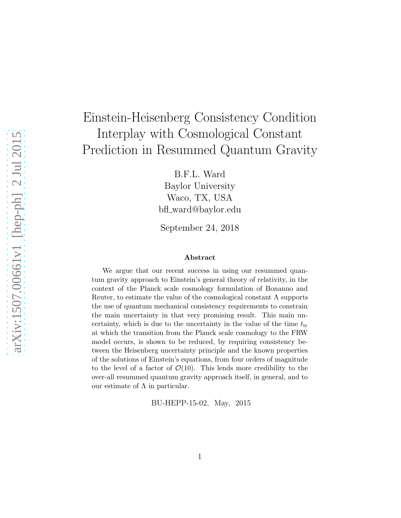## Einstein-Heisenberg Consistency Condition Interplay with Cosmological Constant Prediction in Resummed Quantum Gravity

B.F.L. Ward Baylor University Waco, TX, USA bfl ward@baylor.edu

September 24, 2018

## Abstract

We argue that our recent success in using our resummed quantum gravity approach to Einstein's general theory of relativity, in the context of the Planck scale cosmology formulation of Bonanno and Reuter, to estimate the value of the cosmological constant  $\Lambda$  supports the use of quantum mechanical consistency requirements to constrain the main uncertainty in that very promising result. This main uncertainty, which is due to the uncertainty in the value of the time  $t_{tr}$ at which the transition from the Planck scale cosmology to the FRW model occurs, is shown to be reduced, by requiring consistency between the Heisenberg uncertainty principle and the known properties of the solutions of Einstein's equations, from four orders of magnitude to the level of a factor of  $\mathcal{O}(10)$ . This lends more credibility to the over-all resummed quantum gravity approach itself, in general, and to our estimate of  $Λ$  in particular.

BU-HEPP-15-02, May, 2015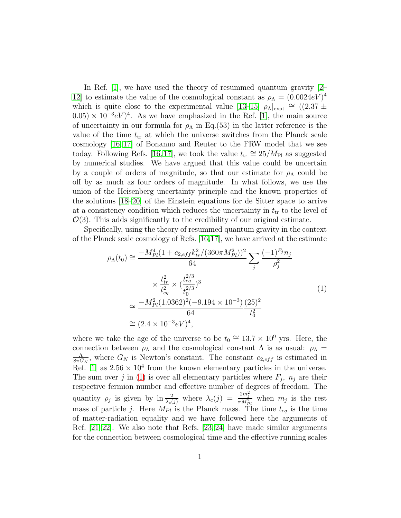In Ref. [\[1\]](#page-4-0), we have used the theory of resummed quantum gravity [\[2–](#page-4-1) [12\]](#page-4-2) to estimate the value of the cosmological constant as  $\rho_{\Lambda} = (0.0024eV)^4$ which is quite close to the experimental value [\[13](#page-4-3)[–15\]](#page-4-4)  $\rho_{\Lambda}|_{\rm expt} \approx (2.37 \pm 1.00)$  $(0.05) \times 10^{-3} eV$ <sup>4</sup>. As we have emphasized in the Ref. [\[1\]](#page-4-0), the main source of uncertainty in our formula for  $\rho_{\Lambda}$  in Eq.(53) in the latter reference is the value of the time  $t_{tr}$  at which the universe switches from the Planck scale cosmology [\[16,](#page-5-0) [17\]](#page-5-1) of Bonanno and Reuter to the FRW model that we see today. Following Refs. [\[16,](#page-5-0)17], we took the value  $t_{tr} \approx 25/M_{\rm Pl}$  as suggested by numerical studies. We have argued that this value could be uncertain by a couple of orders of magnitude, so that our estimate for  $\rho_{\Lambda}$  could be off by as much as four orders of magnitude. In what follows, we use the union of the Heisenberg uncertainty principle and the known properties of the solutions [\[18](#page-5-2)[–20\]](#page-5-3) of the Einstein equations for de Sitter space to arrive at a consistency condition which reduces the uncertainty in  $t_{tr}$  to the level of  $\mathcal{O}(3)$ . This adds significantly to the credibility of our original estimate.

Specifically, using the theory of resummed quantum gravity in the context of the Planck scale cosmology of Refs. [\[16,](#page-5-0)[17\]](#page-5-1), we have arrived at the estimate

<span id="page-1-0"></span>
$$
\rho_{\Lambda}(t_0) \cong \frac{-M_{Pl}^4 (1 + c_{2,eff} k_{tr}^2 / (360 \pi M_{Pl}^2))^2}{64} \sum_j \frac{(-1)^{F_j} n_j}{\rho_j^2} \times \frac{t_{tr}^2}{t_{eq}^2} \times (\frac{t_{eq}^{2/3}}{t_0^{2/3}})^3 \cong \frac{-M_{Pl}^2 (1.0362)^2 (-9.194 \times 10^{-3}) (25)^2}{64} \cong (2.4 \times 10^{-3} eV)^4,
$$
\n(1)

where we take the age of the universe to be  $t_0 \approx 13.7 \times 10^9$  yrs. Here, the connection between  $\rho_{\Lambda}$  and the cosmological constant  $\Lambda$  is as usual:  $\rho_{\Lambda}$  = Λ  $\frac{\Lambda}{8\pi G_N}$ , where  $G_N$  is Newton's constant. The constant  $c_{2,eff}$  is estimated in Ref. [\[1\]](#page-4-0) as  $2.56 \times 10^4$  from the known elementary particles in the universe. The sum over j in [\(1\)](#page-1-0) is over all elementary particles where  $F_j$ ,  $n_j$  are their respective fermion number and effective number of degrees of freedom. The quantity  $\rho_j$  is given by  $\ln \frac{2}{\lambda_c(j)}$  where  $\lambda_c(j) = \frac{2m_j^2}{\pi M_{Pl}^2}$  when  $m_j$  is the rest mass of particle j. Here  $M_{Pl}$  is the Planck mass. The time  $t_{eq}$  is the time of matter-radiation equality and we have followed here the arguments of Ref. [\[21,](#page-5-4) [22\]](#page-5-5). We also note that Refs. [\[23,](#page-5-6) [24\]](#page-5-7) have made similar arguments for the connection between cosmological time and the effective running scales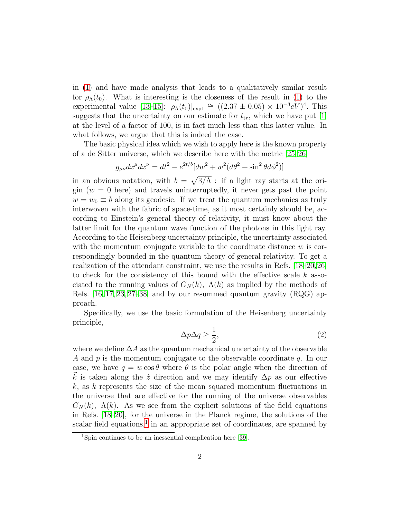in [\(1\)](#page-1-0) and have made analysis that leads to a qualitatively similar result for  $\rho_{\Lambda}(t_0)$ . What is interesting is the closeness of the result in [\(1\)](#page-1-0) to the experimental value [\[13–](#page-4-3)[15\]](#page-4-4):  $\rho_{\Lambda}(t_0)|_{\rm expt} \cong ((2.37 \pm 0.05) \times 10^{-3} eV)^4$ . This suggests that the uncertainty on our estimate for  $t_{tr}$ , which we have put [\[1\]](#page-4-0) at the level of a factor of 100, is in fact much less than this latter value. In what follows, we argue that this is indeed the case.

The basic physical idea which we wish to apply here is the known property of a de Sitter universe, which we describe here with the metric [\[25,](#page-5-8) [26\]](#page-5-9)

$$
g_{\mu\nu}dx^{\mu}dx^{\nu} = dt^{2} - e^{2t/b}[dw^{2} + w^{2}(d\theta^{2} + \sin^{2}\theta d\phi^{2})]
$$

in an obvious notation, with  $b = \sqrt{3/\Lambda}$ : if a light ray starts at the origin  $(w = 0$  here) and travels uninterruptedly, it never gets past the point  $w = w_0 \equiv b$  along its geodesic. If we treat the quantum mechanics as truly interwoven with the fabric of space-time, as it most certainly should be, according to Einstein's general theory of relativity, it must know about the latter limit for the quantum wave function of the photons in this light ray. According to the Heisenberg uncertainty principle, the uncertainty associated with the momentum conjugate variable to the coordinate distance  $w$  is correspondingly bounded in the quantum theory of general relativity. To get a realization of the attendant constraint, we use the results in Refs. [\[18](#page-5-2)[–20,](#page-5-3)[26\]](#page-5-9) to check for the consistency of this bound with the effective scale  $k$  associated to the running values of  $G_N(k)$ ,  $\Lambda(k)$  as implied by the methods of Refs.  $[16, 17, 23, 27-38]$  $[16, 17, 23, 27-38]$  $[16, 17, 23, 27-38]$  $[16, 17, 23, 27-38]$  $[16, 17, 23, 27-38]$  and by our resummed quantum gravity  $(RQG)$  approach.

Specifically, we use the basic formulation of the Heisenberg uncertainty principle,

$$
\Delta p \Delta q \ge \frac{1}{2},\tag{2}
$$

where we define  $\Delta A$  as the quantum mechanical uncertainty of the observable A and p is the momentum conjugate to the observable coordinate q. In our case, we have  $q = w \cos \theta$  where  $\theta$  is the polar angle when the direction of k is taken along the  $\hat{z}$  direction and we may identify  $\Delta p$  as our effective  $k$ , as k represents the size of the mean squared momentum fluctuations in the universe that are effective for the running of the universe observables  $G_N(k)$ ,  $\Lambda(k)$ . As we see from the explicit solutions of the field equations in Refs. [\[18–](#page-5-2)[20\]](#page-5-3), for the universe in the Planck regime, the solutions of the scalar field equations,<sup>[1](#page-2-0)</sup> in an appropriate set of coordinates, are spanned by

<span id="page-2-0"></span><sup>1</sup>Spin continues to be an inessential complication here [\[39\]](#page-6-1).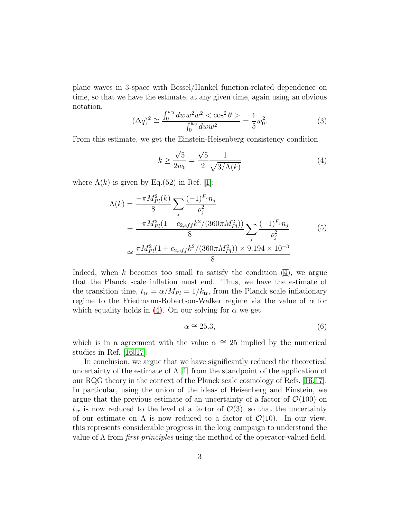plane waves in 3-space with Bessel/Hankel function-related dependence on time, so that we have the estimate, at any given time, again using an obvious notation,

$$
(\Delta q)^2 \cong \frac{\int_0^{w_0} dw w^2 w^2 < \cos^2 \theta >}{\int_0^{w_0} dw w^2} = \frac{1}{5} w_0^2. \tag{3}
$$

From this estimate, we get the Einstein-Heisenberg consistency condition

<span id="page-3-0"></span>
$$
k \ge \frac{\sqrt{5}}{2w_0} = \frac{\sqrt{5}}{2} \frac{1}{\sqrt{3/\Lambda(k)}}\tag{4}
$$

where  $\Lambda(k)$  is given by Eq.(52) in Ref. [\[1\]](#page-4-0):

$$
\Lambda(k) = \frac{-\pi M_{Pl}^2(k)}{8} \sum_j \frac{(-1)^{F_j} n_j}{\rho_j^2}
$$
  
= 
$$
\frac{-\pi M_{Pl}^2 (1 + c_{2,eff} k^2 / (360 \pi M_{Pl}^2))}{8} \sum_j \frac{(-1)^{F_j} n_j}{\rho_j^2}
$$
(5)  

$$
\approx \frac{\pi M_{Pl}^2 (1 + c_{2,eff} k^2 / (360 \pi M_{Pl}^2)) \times 9.194 \times 10^{-3}}{8}
$$

Indeed, when k becomes too small to satisfy the condition  $(4)$ , we argue that the Planck scale inflation must end. Thus, we have the estimate of the transition time,  $t_{tr} = \alpha / M_{Pl} = 1 / k_{tr}$ , from the Planck scale inflationary regime to the Friedmann-Robertson-Walker regime via the value of  $\alpha$  for which equality holds in [\(4\)](#page-3-0). On our solving for  $\alpha$  we get

$$
\alpha \cong 25.3,\tag{6}
$$

which is in a agreement with the value  $\alpha \approx 25$  implied by the numerical studies in Ref. [\[16,](#page-5-0) [17\]](#page-5-1).

In conclusion, we argue that we have significantly reduced the theoretical uncertainty of the estimate of  $\Lambda$  [\[1\]](#page-4-0) from the standpoint of the application of our RQG theory in the context of the Planck scale cosmology of Refs. [\[16,](#page-5-0)[17\]](#page-5-1). In particular, using the union of the ideas of Heisenberg and Einstein, we argue that the previous estimate of an uncertainty of a factor of  $\mathcal{O}(100)$  on  $t_{tr}$  is now reduced to the level of a factor of  $\mathcal{O}(3)$ , so that the uncertainty of our estimate on  $\Lambda$  is now reduced to a factor of  $\mathcal{O}(10)$ . In our view, this represents considerable progress in the long campaign to understand the value of  $\Lambda$  from *first principles* using the method of the operator-valued field.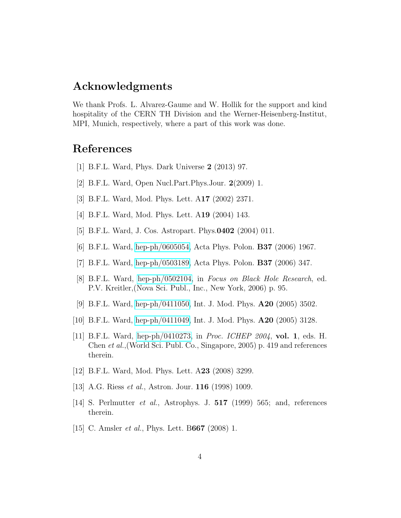## Acknowledgments

We thank Profs. L. Alvarez-Gaume and W. Hollik for the support and kind hospitality of the CERN TH Division and the Werner-Heisenberg-Institut, MPI, Munich, respectively, where a part of this work was done.

## <span id="page-4-0"></span>References

- <span id="page-4-1"></span>[1] B.F.L. Ward, Phys. Dark Universe 2 (2013) 97.
- [2] B.F.L. Ward, Open Nucl.Part.Phys.Jour. 2(2009) 1.
- [3] B.F.L. Ward, Mod. Phys. Lett. A17 (2002) 2371.
- [4] B.F.L. Ward, Mod. Phys. Lett. A19 (2004) 143.
- [5] B.F.L. Ward, J. Cos. Astropart. Phys.0402 (2004) 011.
- [6] B.F.L. Ward, [hep-ph/0605054,](http://arxiv.org/abs/hep-ph/0605054) Acta Phys. Polon. B37 (2006) 1967.
- [7] B.F.L. Ward, [hep-ph/0503189,](http://arxiv.org/abs/hep-ph/0503189) Acta Phys. Polon. B37 (2006) 347.
- [8] B.F.L. Ward, [hep-ph/0502104,](http://arxiv.org/abs/hep-ph/0502104) in Focus on Black Hole Research, ed. P.V. Kreitler,(Nova Sci. Publ., Inc., New York, 2006) p. 95.
- [9] B.F.L. Ward, [hep-ph/0411050,](http://arxiv.org/abs/hep-ph/0411050) Int. J. Mod. Phys. A20 (2005) 3502.
- [10] B.F.L. Ward, [hep-ph/0411049,](http://arxiv.org/abs/hep-ph/0411049) Int. J. Mod. Phys. A20 (2005) 3128.
- [11] B.F.L. Ward, [hep-ph/0410273,](http://arxiv.org/abs/hep-ph/0410273) in Proc. ICHEP 2004, vol. 1, eds. H. Chen et al.,(World Sci. Publ. Co., Singapore, 2005) p. 419 and references therein.
- <span id="page-4-3"></span><span id="page-4-2"></span>[12] B.F.L. Ward, Mod. Phys. Lett. A23 (2008) 3299.
- [13] A.G. Riess *et al.*, Astron. Jour. **116** (1998) 1009.
- <span id="page-4-4"></span>[14] S. Perlmutter et al., Astrophys. J. 517 (1999) 565; and, references therein.
- [15] C. Amsler *et al.*, Phys. Lett. B667 (2008) 1.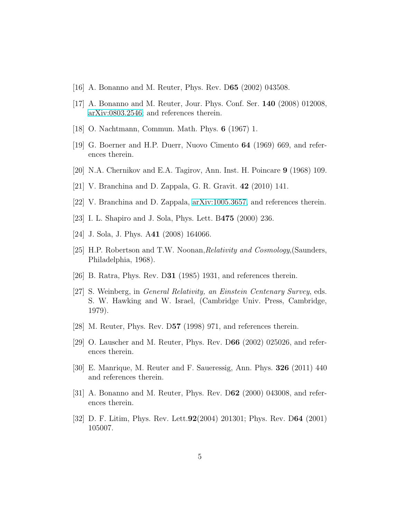- <span id="page-5-1"></span><span id="page-5-0"></span>[16] A. Bonanno and M. Reuter, Phys. Rev. D65 (2002) 043508.
- <span id="page-5-2"></span>[17] A. Bonanno and M. Reuter, Jour. Phys. Conf. Ser. 140 (2008) 012008, [arXiv:0803.2546;](http://arxiv.org/abs/0803.2546) and references therein.
- [18] O. Nachtmann, Commun. Math. Phys. 6 (1967) 1.
- <span id="page-5-3"></span>[19] G. Boerner and H.P. Duerr, Nuovo Cimento 64 (1969) 669, and references therein.
- <span id="page-5-4"></span>[20] N.A. Chernikov and E.A. Tagirov, Ann. Inst. H. Poincare 9 (1968) 109.
- <span id="page-5-5"></span>[21] V. Branchina and D. Zappala, G. R. Gravit. 42 (2010) 141.
- <span id="page-5-6"></span>[22] V. Branchina and D. Zappala, [arXiv:1005.3657,](http://arxiv.org/abs/1005.3657) and references therein.
- <span id="page-5-7"></span>[23] I. L. Shapiro and J. Sola, Phys. Lett. B475 (2000) 236.
- <span id="page-5-8"></span>[24] J. Sola, J. Phys. A41 (2008) 164066.
- <span id="page-5-9"></span>[25] H.P. Robertson and T.W. Noonan, Relativity and Cosmology, (Saunders, Philadelphia, 1968).
- <span id="page-5-10"></span>[26] B. Ratra, Phys. Rev. D31 (1985) 1931, and references therein.
- [27] S. Weinberg, in General Relativity, an Einstein Centenary Survey, eds. S. W. Hawking and W. Israel, (Cambridge Univ. Press, Cambridge, 1979).
- [28] M. Reuter, Phys. Rev. D57 (1998) 971, and references therein.
- [29] O. Lauscher and M. Reuter, Phys. Rev. D66 (2002) 025026, and references therein.
- [30] E. Manrique, M. Reuter and F. Saueressig, Ann. Phys. 326 (2011) 440 and references therein.
- [31] A. Bonanno and M. Reuter, Phys. Rev. D62 (2000) 043008, and references therein.
- [32] D. F. Litim, Phys. Rev. Lett.92(2004) 201301; Phys. Rev. D64 (2001) 105007.